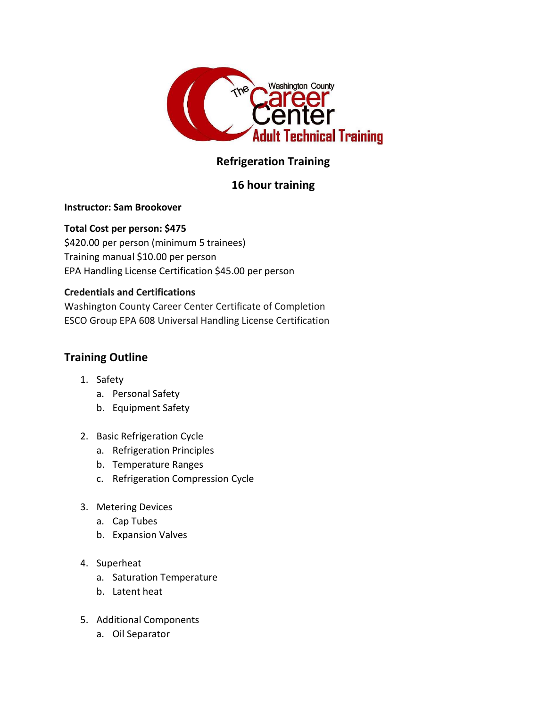

# Refrigeration Training

## 16 hour training

#### Instructor: Sam Brookover

### Total Cost per person: \$475

\$420.00 per person (minimum 5 trainees) Training manual \$10.00 per person EPA Handling License Certification \$45.00 per person

### Credentials and Certifications

Washington County Career Center Certificate of Completion ESCO Group EPA 608 Universal Handling License Certification

### Training Outline

- 1. Safety
	- a. Personal Safety
	- b. Equipment Safety
- 2. Basic Refrigeration Cycle
	- a. Refrigeration Principles
	- b. Temperature Ranges
	- c. Refrigeration Compression Cycle
- 3. Metering Devices
	- a. Cap Tubes
	- b. Expansion Valves
- 4. Superheat
	- a. Saturation Temperature
	- b. Latent heat
- 5. Additional Components
	- a. Oil Separator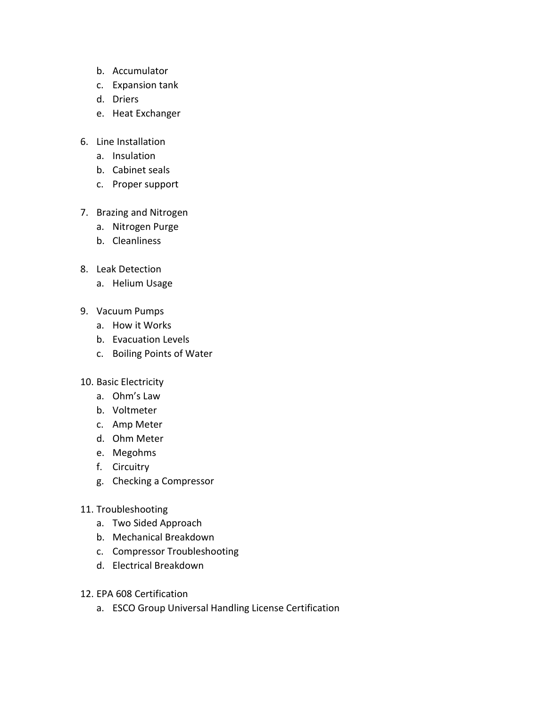- b. Accumulator
- c. Expansion tank
- d. Driers
- e. Heat Exchanger
- 6. Line Installation
	- a. Insulation
	- b. Cabinet seals
	- c. Proper support
- 7. Brazing and Nitrogen
	- a. Nitrogen Purge
	- b. Cleanliness
- 8. Leak Detection
	- a. Helium Usage
- 9. Vacuum Pumps
	- a. How it Works
	- b. Evacuation Levels
	- c. Boiling Points of Water
- 10. Basic Electricity
	- a. Ohm's Law
	- b. Voltmeter
	- c. Amp Meter
	- d. Ohm Meter
	- e. Megohms
	- f. Circuitry
	- g. Checking a Compressor
- 11. Troubleshooting
	- a. Two Sided Approach
	- b. Mechanical Breakdown
	- c. Compressor Troubleshooting
	- d. Electrical Breakdown
- 12. EPA 608 Certification
	- a. ESCO Group Universal Handling License Certification